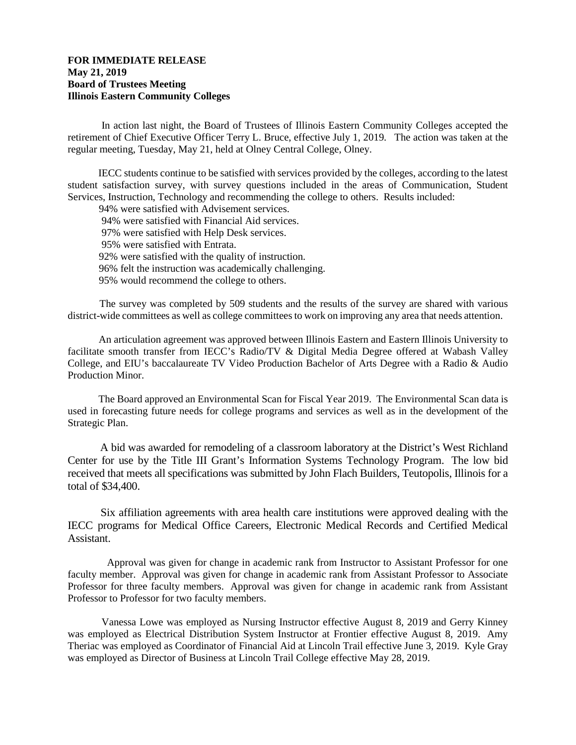## **FOR IMMEDIATE RELEASE May 21, 2019 Board of Trustees Meeting Illinois Eastern Community Colleges**

In action last night, the Board of Trustees of Illinois Eastern Community Colleges accepted the retirement of Chief Executive Officer Terry L. Bruce, effective July 1, 2019. The action was taken at the regular meeting, Tuesday, May 21, held at Olney Central College, Olney.

 IECC students continue to be satisfied with services provided by the colleges, according to the latest student satisfaction survey, with survey questions included in the areas of Communication, Student Services, Instruction, Technology and recommending the college to others. Results included:

 94% were satisfied with Advisement services. 94% were satisfied with Financial Aid services. 97% were satisfied with Help Desk services. 95% were satisfied with Entrata. 92% were satisfied with the quality of instruction. 96% felt the instruction was academically challenging. 95% would recommend the college to others.

 The survey was completed by 509 students and the results of the survey are shared with various district-wide committees as well as college committees to work on improving any area that needs attention.

 An articulation agreement was approved between Illinois Eastern and Eastern Illinois University to facilitate smooth transfer from IECC's Radio/TV & Digital Media Degree offered at Wabash Valley College, and EIU's baccalaureate TV Video Production Bachelor of Arts Degree with a Radio & Audio Production Minor.

 The Board approved an Environmental Scan for Fiscal Year 2019. The Environmental Scan data is used in forecasting future needs for college programs and services as well as in the development of the Strategic Plan.

 A bid was awarded for remodeling of a classroom laboratory at the District's West Richland Center for use by the Title III Grant's Information Systems Technology Program. The low bid received that meets all specifications was submitted by John Flach Builders, Teutopolis, Illinois for a total of \$34,400.

 Six affiliation agreements with area health care institutions were approved dealing with the IECC programs for Medical Office Careers, Electronic Medical Records and Certified Medical Assistant.

 Approval was given for change in academic rank from Instructor to Assistant Professor for one faculty member. Approval was given for change in academic rank from Assistant Professor to Associate Professor for three faculty members. Approval was given for change in academic rank from Assistant Professor to Professor for two faculty members.

Vanessa Lowe was employed as Nursing Instructor effective August 8, 2019 and Gerry Kinney was employed as Electrical Distribution System Instructor at Frontier effective August 8, 2019. Amy Theriac was employed as Coordinator of Financial Aid at Lincoln Trail effective June 3, 2019. Kyle Gray was employed as Director of Business at Lincoln Trail College effective May 28, 2019.